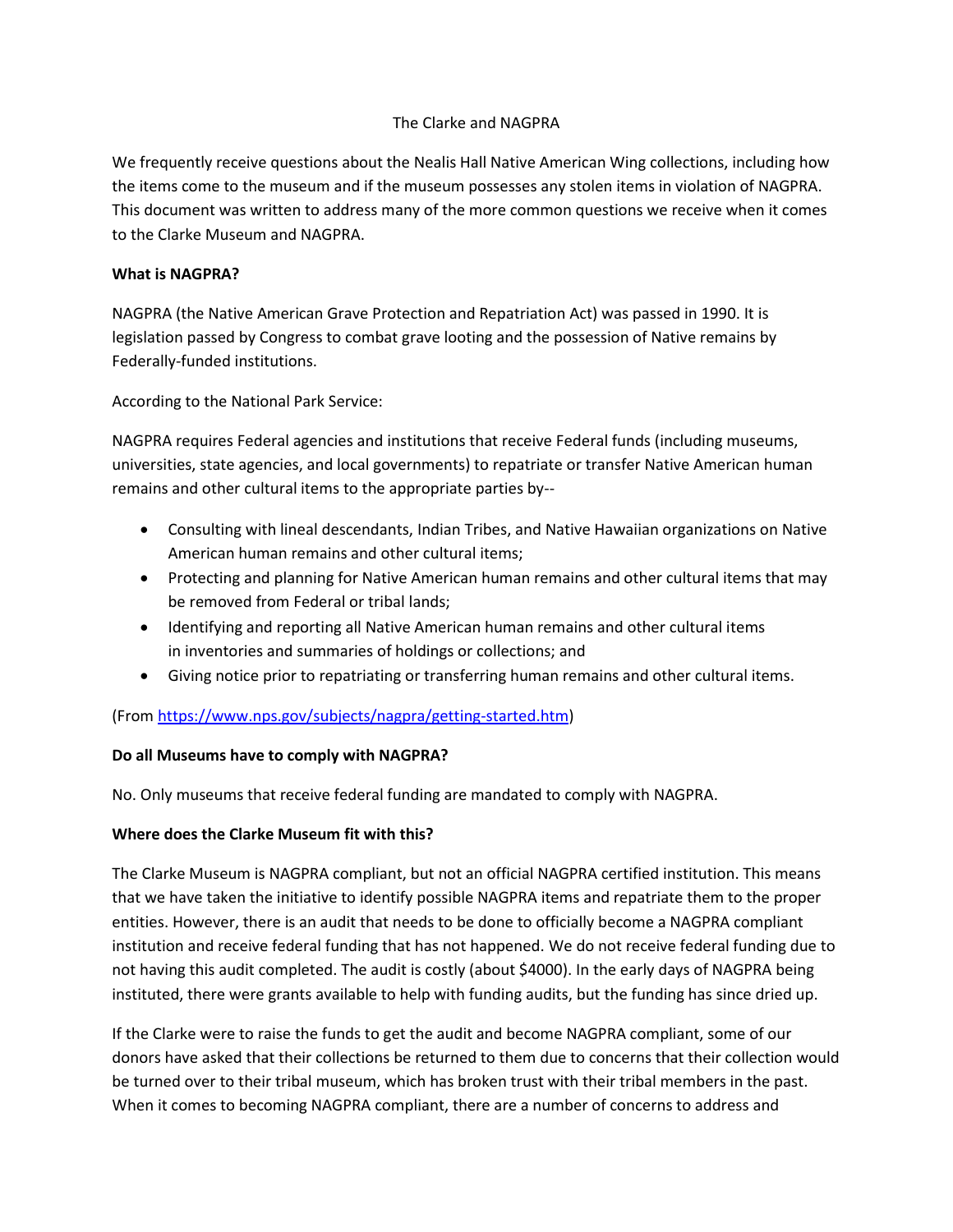# The Clarke and NAGPRA

We frequently receive questions about the Nealis Hall Native American Wing collections, including how the items come to the museum and if the museum possesses any stolen items in violation of NAGPRA. This document was written to address many of the more common questions we receive when it comes to the Clarke Museum and NAGPRA.

### **What is NAGPRA?**

NAGPRA (the Native American Grave Protection and Repatriation Act) was passed in 1990. It is legislation passed by Congress to combat grave looting and the possession of Native remains by Federally-funded institutions.

According to the National Park Service:

NAGPRA requires Federal agencies and institutions that receive Federal funds (including museums, universities, state agencies, and local governments) to repatriate or transfer Native American human remains and other cultural items to the appropriate parties by--

- Consulting with lineal descendants, Indian Tribes, and Native Hawaiian organizations on Native American human remains and other cultural items;
- Protecting and planning for Native American human remains and other cultural items that may be removed from Federal or tribal lands;
- Identifying and reporting all Native American human remains and other cultural items in inventories and summaries of holdings or collections; and
- Giving notice prior to repatriating or transferring human remains and other cultural items.

### (From [https://www.nps.gov/subjects/nagpra/getting-started.htm\)](https://www.nps.gov/subjects/nagpra/getting-started.htm)

### **Do all Museums have to comply with NAGPRA?**

No. Only museums that receive federal funding are mandated to comply with NAGPRA.

### **Where does the Clarke Museum fit with this?**

The Clarke Museum is NAGPRA compliant, but not an official NAGPRA certified institution. This means that we have taken the initiative to identify possible NAGPRA items and repatriate them to the proper entities. However, there is an audit that needs to be done to officially become a NAGPRA compliant institution and receive federal funding that has not happened. We do not receive federal funding due to not having this audit completed. The audit is costly (about \$4000). In the early days of NAGPRA being instituted, there were grants available to help with funding audits, but the funding has since dried up.

If the Clarke were to raise the funds to get the audit and become NAGPRA compliant, some of our donors have asked that their collections be returned to them due to concerns that their collection would be turned over to their tribal museum, which has broken trust with their tribal members in the past. When it comes to becoming NAGPRA compliant, there are a number of concerns to address and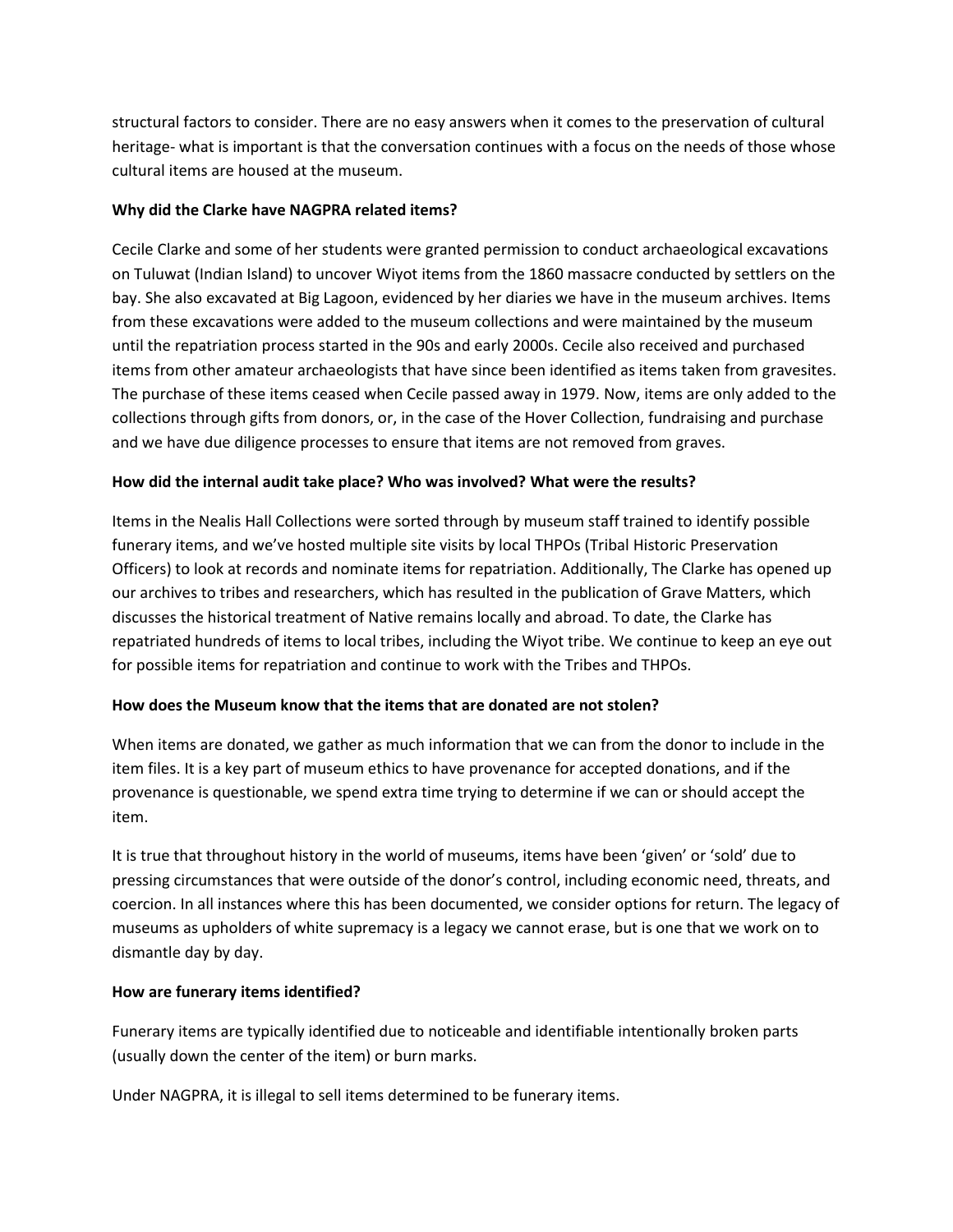structural factors to consider. There are no easy answers when it comes to the preservation of cultural heritage- what is important is that the conversation continues with a focus on the needs of those whose cultural items are housed at the museum.

# **Why did the Clarke have NAGPRA related items?**

Cecile Clarke and some of her students were granted permission to conduct archaeological excavations on Tuluwat (Indian Island) to uncover Wiyot items from the 1860 massacre conducted by settlers on the bay. She also excavated at Big Lagoon, evidenced by her diaries we have in the museum archives. Items from these excavations were added to the museum collections and were maintained by the museum until the repatriation process started in the 90s and early 2000s. Cecile also received and purchased items from other amateur archaeologists that have since been identified as items taken from gravesites. The purchase of these items ceased when Cecile passed away in 1979. Now, items are only added to the collections through gifts from donors, or, in the case of the Hover Collection, fundraising and purchase and we have due diligence processes to ensure that items are not removed from graves.

# **How did the internal audit take place? Who was involved? What were the results?**

Items in the Nealis Hall Collections were sorted through by museum staff trained to identify possible funerary items, and we've hosted multiple site visits by local THPOs (Tribal Historic Preservation Officers) to look at records and nominate items for repatriation. Additionally, The Clarke has opened up our archives to tribes and researchers, which has resulted in the publication of Grave Matters, which discusses the historical treatment of Native remains locally and abroad. To date, the Clarke has repatriated hundreds of items to local tribes, including the Wiyot tribe. We continue to keep an eye out for possible items for repatriation and continue to work with the Tribes and THPOs.

### **How does the Museum know that the items that are donated are not stolen?**

When items are donated, we gather as much information that we can from the donor to include in the item files. It is a key part of museum ethics to have provenance for accepted donations, and if the provenance is questionable, we spend extra time trying to determine if we can or should accept the item.

It is true that throughout history in the world of museums, items have been 'given' or 'sold' due to pressing circumstances that were outside of the donor's control, including economic need, threats, and coercion. In all instances where this has been documented, we consider options for return. The legacy of museums as upholders of white supremacy is a legacy we cannot erase, but is one that we work on to dismantle day by day.

### **How are funerary items identified?**

Funerary items are typically identified due to noticeable and identifiable intentionally broken parts (usually down the center of the item) or burn marks.

Under NAGPRA, it is illegal to sell items determined to be funerary items.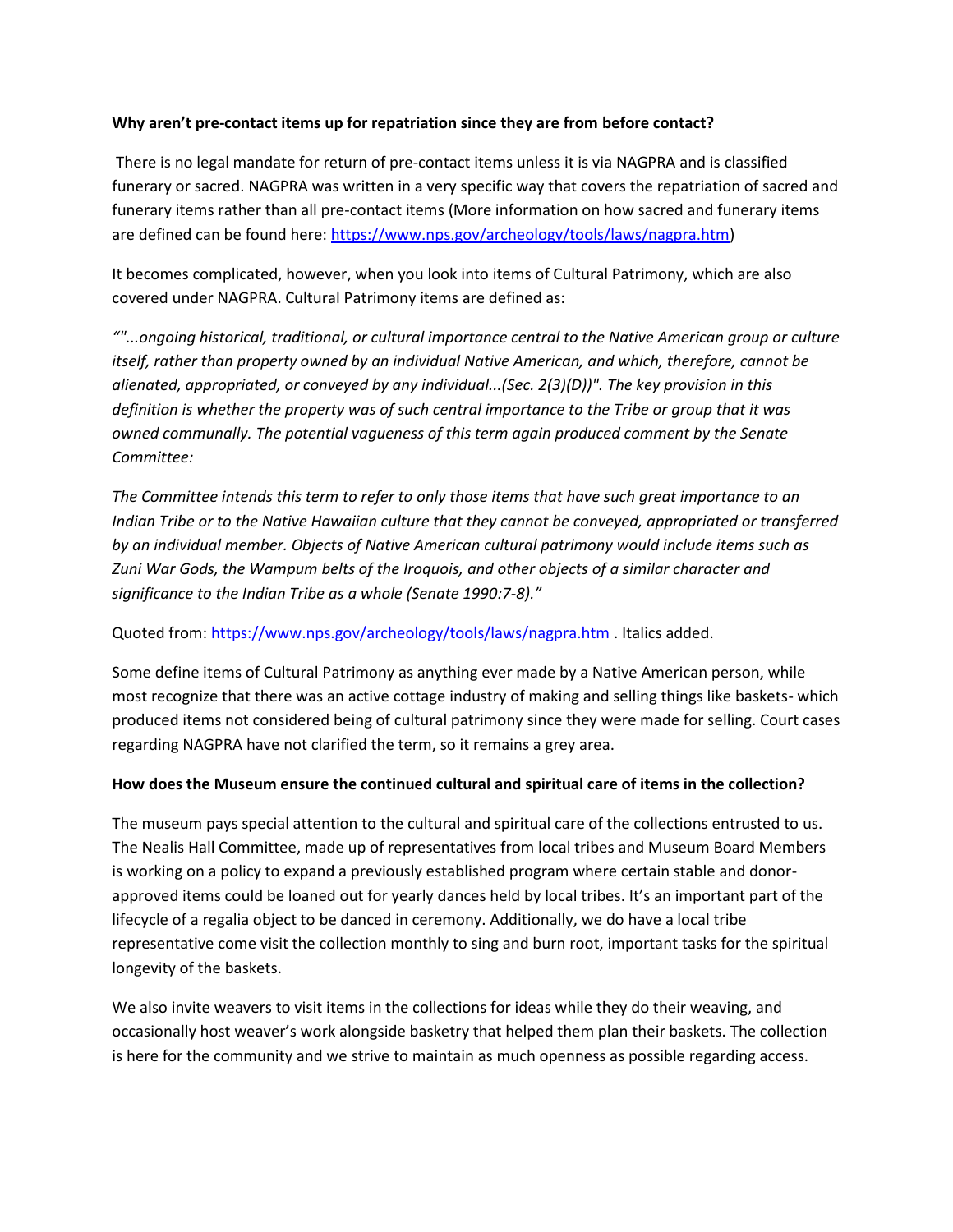#### **Why aren't pre-contact items up for repatriation since they are from before contact?**

There is no legal mandate for return of pre-contact items unless it is via NAGPRA and is classified funerary or sacred. NAGPRA was written in a very specific way that covers the repatriation of sacred and funerary items rather than all pre-contact items (More information on how sacred and funerary items are defined can be found here[: https://www.nps.gov/archeology/tools/laws/nagpra.htm\)](https://www.nps.gov/archeology/tools/laws/nagpra.htm)

It becomes complicated, however, when you look into items of Cultural Patrimony, which are also covered under NAGPRA. Cultural Patrimony items are defined as:

*""...ongoing historical, traditional, or cultural importance central to the Native American group or culture itself, rather than property owned by an individual Native American, and which, therefore, cannot be alienated, appropriated, or conveyed by any individual...(Sec. 2(3)(D))". The key provision in this definition is whether the property was of such central importance to the Tribe or group that it was owned communally. The potential vagueness of this term again produced comment by the Senate Committee:*

*The Committee intends this term to refer to only those items that have such great importance to an Indian Tribe or to the Native Hawaiian culture that they cannot be conveyed, appropriated or transferred by an individual member. Objects of Native American cultural patrimony would include items such as Zuni War Gods, the Wampum belts of the Iroquois, and other objects of a similar character and significance to the Indian Tribe as a whole (Senate 1990:7-8)."*

Quoted from[: https://www.nps.gov/archeology/tools/laws/nagpra.htm](https://www.nps.gov/archeology/tools/laws/nagpra.htm) . Italics added.

Some define items of Cultural Patrimony as anything ever made by a Native American person, while most recognize that there was an active cottage industry of making and selling things like baskets- which produced items not considered being of cultural patrimony since they were made for selling. Court cases regarding NAGPRA have not clarified the term, so it remains a grey area.

### **How does the Museum ensure the continued cultural and spiritual care of items in the collection?**

The museum pays special attention to the cultural and spiritual care of the collections entrusted to us. The Nealis Hall Committee, made up of representatives from local tribes and Museum Board Members is working on a policy to expand a previously established program where certain stable and donorapproved items could be loaned out for yearly dances held by local tribes. It's an important part of the lifecycle of a regalia object to be danced in ceremony. Additionally, we do have a local tribe representative come visit the collection monthly to sing and burn root, important tasks for the spiritual longevity of the baskets.

We also invite weavers to visit items in the collections for ideas while they do their weaving, and occasionally host weaver's work alongside basketry that helped them plan their baskets. The collection is here for the community and we strive to maintain as much openness as possible regarding access.